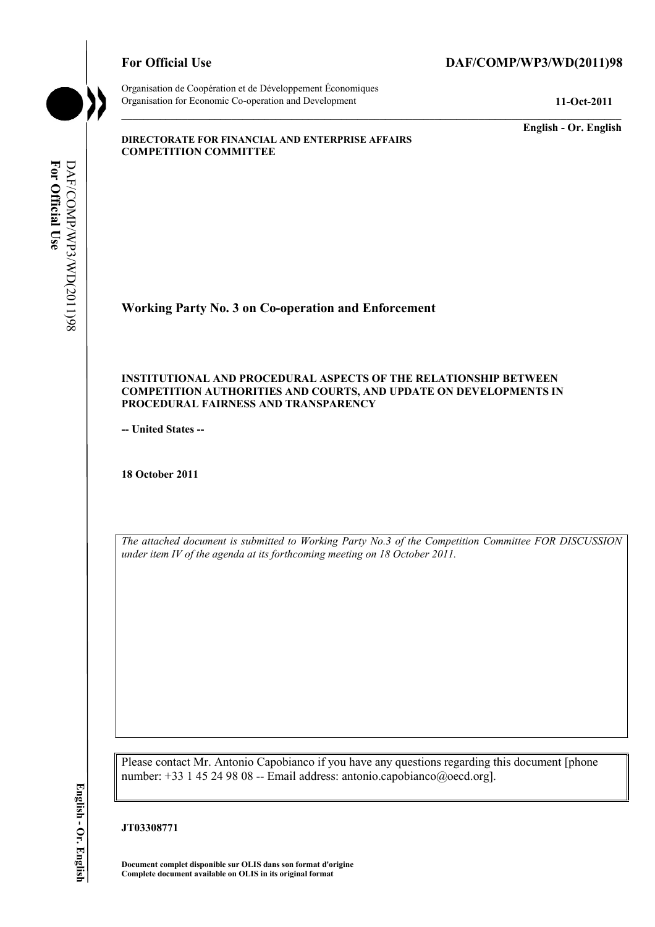

Organisation de Coopération et de Développement Économiques Organisation for Economic Co-operation and Development **11-Oct-2011** 

**English - Or. English** 

#### **DIRECTORATE FOR FINANCIAL AND ENTERPRISE AFFAIRS COMPETITION COMMITTEE**

**Working Party No. 3 on Co-operation and Enforcement** 

#### **INSTITUTIONAL AND PROCEDURAL ASPECTS OF THE RELATIONSHIP BETWEEN COMPETITION AUTHORITIES AND COURTS, AND UPDATE ON DEVELOPMENTS IN PROCEDURAL FAIRNESS AND TRANSPARENCY**

**-- United States --**

**18 October 2011** 

*The attached document is submitted to Working Party No.3 of the Competition Committee FOR DISCUSSION under item IV of the agenda at its forthcoming meeting on 18 October 2011.* 

Please contact Mr. Antonio Capobianco if you have any questions regarding this document [phone number: +33 1 45 24 98 08 -- Email address: antonio.capobianco@oecd.org].

**JT03308771** 

 **Document complet disponible sur OLIS dans son format d'origine Complete document available on OLIS in its original format**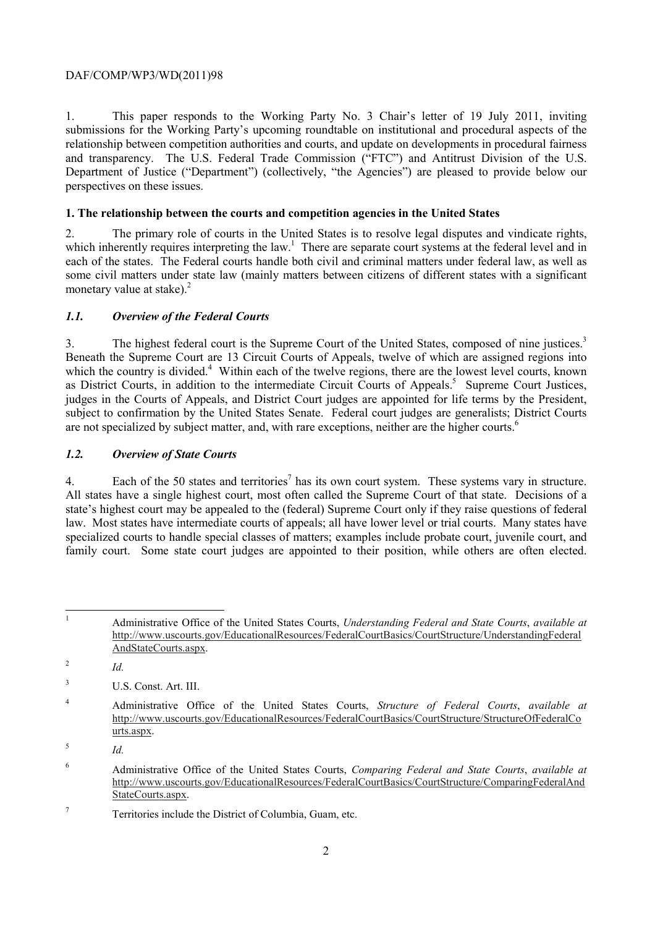1. This paper responds to the Working Party No. 3 Chair's letter of 19 July 2011, inviting submissions for the Working Party's upcoming roundtable on institutional and procedural aspects of the relationship between competition authorities and courts, and update on developments in procedural fairness and transparency. The U.S. Federal Trade Commission ("FTC") and Antitrust Division of the U.S. Department of Justice ("Department") (collectively, "the Agencies") are pleased to provide below our perspectives on these issues.

# **1. The relationship between the courts and competition agencies in the United States**

2. The primary role of courts in the United States is to resolve legal disputes and vindicate rights, which inherently requires interpreting the law.<sup>1</sup> There are separate court systems at the federal level and in each of the states. The Federal courts handle both civil and criminal matters under federal law, as well as some civil matters under state law (mainly matters between citizens of different states with a significant monetary value at stake). $^{2}$ 

# *1.1. Overview of the Federal Courts*

3. The highest federal court is the Supreme Court of the United States, composed of nine justices.<sup>3</sup> are not specialized by subject matter, and, with rare exceptions, neither are the higher courts.<sup>6</sup> Beneath the Supreme Court are 13 Circuit Courts of Appeals, twelve of which are assigned regions into which the country is divided.<sup>4</sup> Within each of the twelve regions, there are the lowest level courts, known as District Courts, in addition to the intermediate Circuit Courts of Appeals.<sup>5</sup> Supreme Court Justices, judges in the Courts of Appeals, and District Court judges are appointed for life terms by the President, subject to confirmation by the United States Senate. Federal court judges are generalists; District Courts

## *1.2. Overview of State Courts*

4. Each of the 50 states and territories<sup>7</sup> has its own court system. These systems vary in structure. 4. Each of the 50 states and territories' has its own court system. These systems vary in structure. All states have a single highest court, most often called the Supreme Court of that state. Decisions of a law. Most states have intermediate courts of appeals; all have lower level or trial courts. Many states have family court. Some state court judges are appointed to their position, while others are often elected. state's highest court may be appealed to the (federal) Supreme Court only if they raise questions of federal specialized courts to handle special classes of matters; examples include probate court, juvenile court, and

<sup>2</sup>*Id.* 

 4 Administrative Office of the United States Courts, *Structure of Federal Courts*, *available at*  http://www.uscourts.gov/EducationalResources/FederalCourtBasics/CourtStructure/StructureOfFederalCo urts.aspx.

 $\frac{5}{10}$ 

 $\mathbf{1}$ family court. Some state court judges are appointed to their position, while others are often elected. 1 Administrative Office of the United States Courts, *Understanding Federal and State Courts*, *available at*  http://www.uscourts.gov/EducationalResources/FederalCourtBasics/CourtStructure/UnderstandingFederal AndStateCourts.aspx.

<sup>3</sup> U.S. Const. Art. III.

<sup>6</sup> Administrative Office of the United States Courts, *Comparing Federal and State Courts*, *available at*  http://www.uscourts.gov/EducationalResources/FederalCourtBasics/CourtStructure/ComparingFederalAnd StateCourts.aspx.

<sup>7</sup> Territories include the District of Columbia, Guam, etc.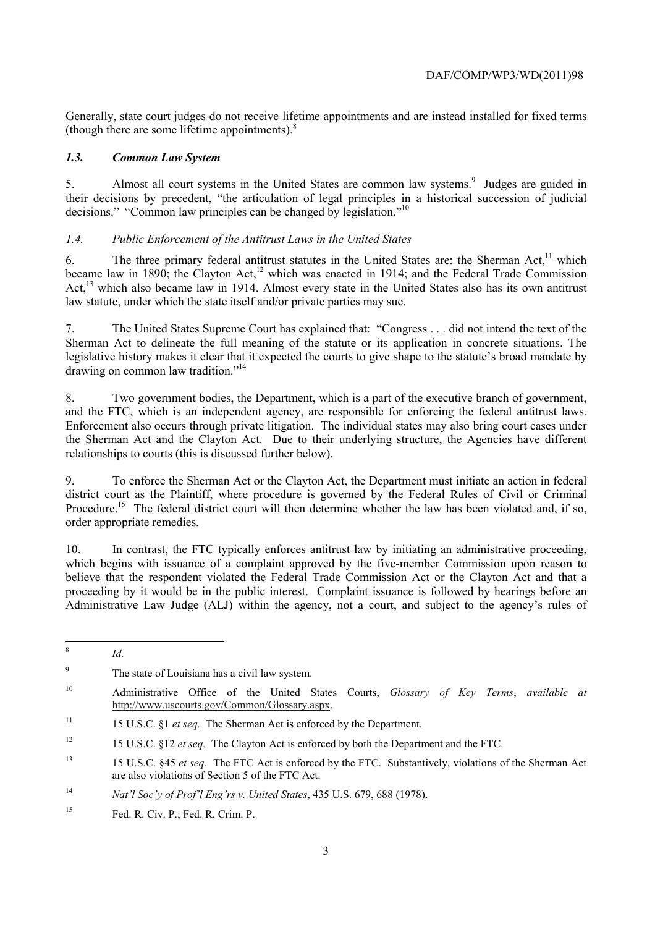(though there are some lifetime appointments).8 Generally, state court judges do not receive lifetime appointments and are instead installed for fixed terms

## *1.3. Common Law System*

5. Almost all court systems in the United States are common law systems.<sup>9</sup> Judges are guided in their decisions by precedent, "the articulation of legal principles in a historical succession of judicial decisions." "Common law principles can be changed by legislation."<sup>10</sup>

# *1.4. Public Enforcement of the Antitrust Laws in the United States*

6. The three primary federal antitrust statutes in the United States are: the Sherman Act.<sup>11</sup> which became law in 1890; the Clayton Act,<sup>12</sup> which was enacted in 1914; and the Federal Trade Commission Act,<sup>13</sup> which also became law in 1914. Almost every state in the United States also has its own antitrust law statute, under which the state itself and/or private parties may sue.

 7. The United States Supreme Court has explained that: "Congress . . . did not intend the text of the legislative history makes it clear that it expected the courts to give shape to the statute's broad mandate by Sherman Act to delineate the full meaning of the statute or its application in concrete situations. The drawing on common law tradition."<sup>14</sup>

 and the FTC, which is an independent agency, are responsible for enforcing the federal antitrust laws. Enforcement also occurs through private litigation. The individual states may also bring court cases under relationships to courts (this is discussed further below). 8. Two government bodies, the Department, which is a part of the executive branch of government, the Sherman Act and the Clayton Act. Due to their underlying structure, the Agencies have different

Procedure.<sup>15</sup> The federal district court will then determine whether the law has been violated and, if so, order appropriate remedies. 9. To enforce the Sherman Act or the Clayton Act, the Department must initiate an action in federal district court as the Plaintiff, where procedure is governed by the Federal Rules of Civil or Criminal

10. In contrast, the FTC typically enforces antitrust law by initiating an administrative proceeding, which begins with issuance of a complaint approved by the five-member Commission upon reason to believe that the respondent violated the Federal Trade Commission Act or the Clayton Act and that a proceeding by it would be in the public interest. Complaint issuance is followed by hearings before an Administrative Law Judge (ALJ) within the agency, not a court, and subject to the agency's rules of

 $\overline{a}$ 

*Id.* 

<sup>&</sup>lt;sup>9</sup> The state of Louisiana has a civil law system.

<sup>10</sup> Administrative Office of the United States Courts, *Glossary of Key Terms*, *available at*  http://www.uscourts.gov/Common/Glossary.aspx.

 $11$ 11 15 U.S.C. §1 *et seq.* The Sherman Act is enforced by the Department.

<sup>&</sup>lt;sup>12</sup> 15 U.S.C. §12 *et seq.* The Clayton Act is enforced by both the Department and the FTC.

 $13$ 13 15 U.S.C. §45 *et seq.* The FTC Act is enforced by the FTC. Substantively, violations of the Sherman Act are also violations of Section 5 of the FTC Act.

 $14$ <sup>14</sup>*Nat'l Soc'y of Prof'l Eng'rs v. United States*, 435 U.S. 679, 688 (1978).

<sup>15</sup> Fed. R. Civ. P.; Fed. R. Crim. P.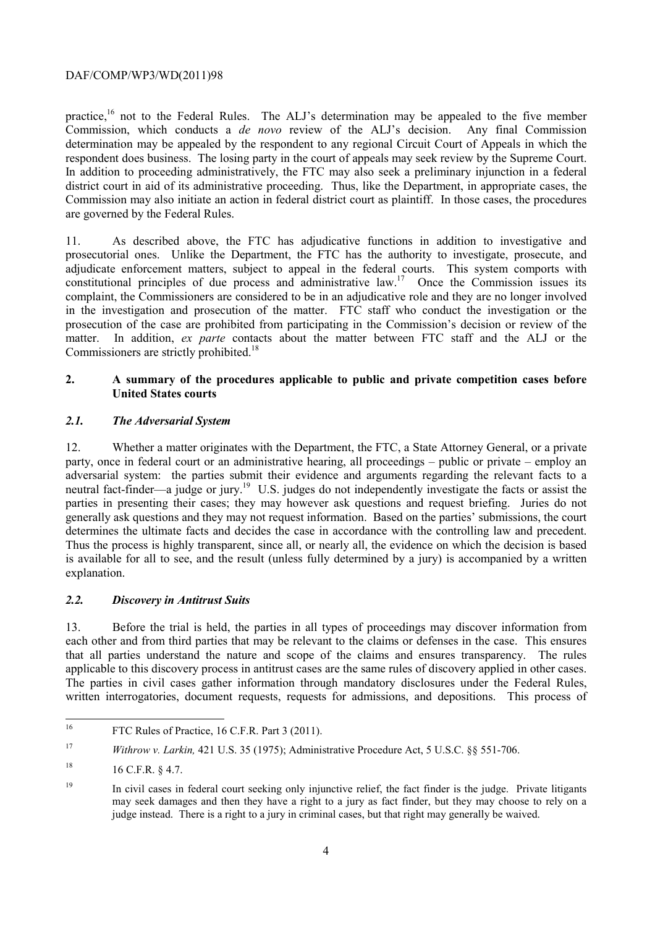respondent does business. The losing party in the court of appeals may seek review by the Supreme Court. practice,<sup>16</sup> not to the Federal Rules. The ALJ's determination may be appealed to the five member Commission, which conducts a *de novo* review of the ALJ's decision. Any final Commission determination may be appealed by the respondent to any regional Circuit Court of Appeals in which the In addition to proceeding administratively, the FTC may also seek a preliminary injunction in a federal district court in aid of its administrative proceeding. Thus, like the Department, in appropriate cases, the Commission may also initiate an action in federal district court as plaintiff. In those cases, the procedures are governed by the Federal Rules.

 adjudicate enforcement matters, subject to appeal in the federal courts. This system comports with in the investigation and prosecution of the matter. FTC staff who conduct the investigation or the prosecution of the case are prohibited from participating in the Commission's decision or review of the Commissioners are strictly prohibited.<sup>18</sup> 11. As described above, the FTC has adjudicative functions in addition to investigative and prosecutorial ones. Unlike the Department, the FTC has the authority to investigate, prosecute, and constitutional principles of due process and administrative law.<sup>17</sup> Once the Commission issues its complaint, the Commissioners are considered to be in an adjudicative role and they are no longer involved matter. In addition, *ex parte* contacts about the matter between FTC staff and the ALJ or the

# **2. A summary of the procedures applicable to public and private competition cases before United States courts**

# *2.1. The Adversarial System*

determines the ultimate facts and decides the case in accordance with the controlling law and precedent. 12. Whether a matter originates with the Department, the FTC, a State Attorney General, or a private party, once in federal court or an administrative hearing, all proceedings – public or private – employ an adversarial system: the parties submit their evidence and arguments regarding the relevant facts to a neutral fact-finder—a judge or jury.<sup>19</sup> U.S. judges do not independently investigate the facts or assist the parties in presenting their cases; they may however ask questions and request briefing. Juries do not generally ask questions and they may not request information. Based on the parties' submissions, the court Thus the process is highly transparent, since all, or nearly all, the evidence on which the decision is based is available for all to see, and the result (unless fully determined by a jury) is accompanied by a written explanation.

## *2.2. Discovery in Antitrust Suits*

applicable to this discovery process in antitrust cases are the same rules of discovery applied in other cases. 13. Before the trial is held, the parties in all types of proceedings may discover information from each other and from third parties that may be relevant to the claims or defenses in the case. This ensures that all parties understand the nature and scope of the claims and ensures transparency. The rules The parties in civil cases gather information through mandatory disclosures under the Federal Rules, written interrogatories, document requests, requests for admissions, and depositions. This process of

 $\overline{a}$ FTC Rules of Practice, 16 C.F.R. Part 3 (2011).

<sup>17</sup>*Withrow v. Larkin,* 421 U.S. 35 (1975); Administrative Procedure Act, 5 U.S.C. §§ 551-706.

<sup>18</sup> 18 16 C.F.R. § 4.7.

 may seek damages and then they have a right to a jury as fact finder, but they may choose to rely on a <sup>19</sup> In civil cases in federal court seeking only injunctive relief, the fact finder is the judge. Private litigants judge instead. There is a right to a jury in criminal cases, but that right may generally be waived.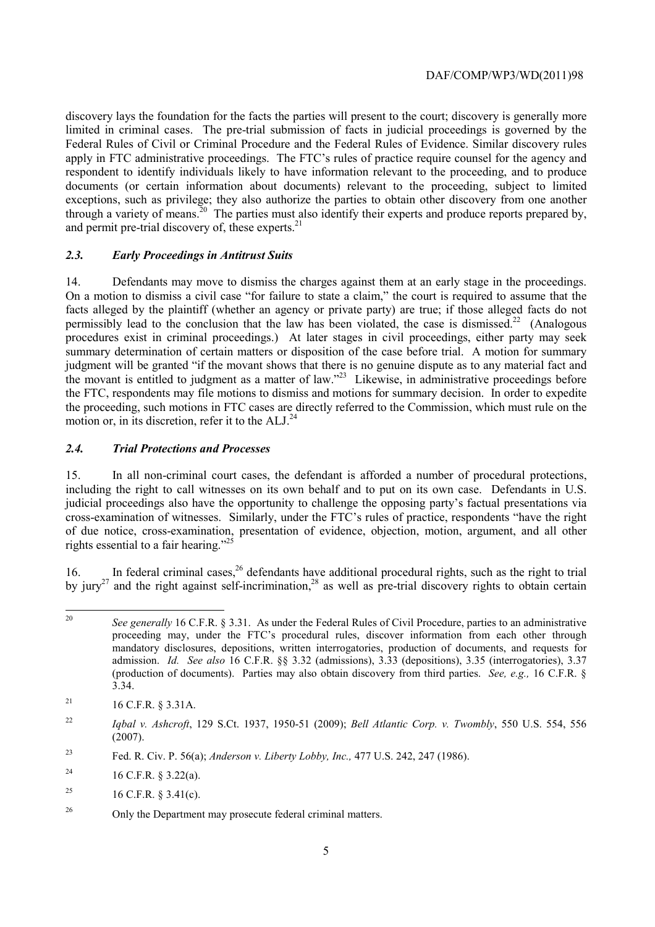discovery lays the foundation for the facts the parties will present to the court; discovery is generally more apply in FTC administrative proceedings. The FTC's rules of practice require counsel for the agency and respondent to identify individuals likely to have information relevant to the proceeding, and to produce and permit pre-trial discovery of, these experts.<sup>21</sup> limited in criminal cases. The pre-trial submission of facts in judicial proceedings is governed by the Federal Rules of Civil or Criminal Procedure and the Federal Rules of Evidence. Similar discovery rules documents (or certain information about documents) relevant to the proceeding, subject to limited exceptions, such as privilege; they also authorize the parties to obtain other discovery from one another through a variety of means.<sup>20</sup> The parties must also identify their experts and produce reports prepared by,

## *2.3. Early Proceedings in Antitrust Suits*

permissibly lead to the conclusion that the law has been violated, the case is dismissed.<sup>22</sup> (Analogous judgment will be granted "if the movant shows that there is no genuine dispute as to any material fact and 14. Defendants may move to dismiss the charges against them at an early stage in the proceedings. On a motion to dismiss a civil case "for failure to state a claim," the court is required to assume that the facts alleged by the plaintiff (whether an agency or private party) are true; if those alleged facts do not procedures exist in criminal proceedings.) At later stages in civil proceedings, either party may seek summary determination of certain matters or disposition of the case before trial. A motion for summary the movant is entitled to judgment as a matter of law."23 Likewise, in administrative proceedings before the FTC, respondents may file motions to dismiss and motions for summary decision. In order to expedite the proceeding, such motions in FTC cases are directly referred to the Commission, which must rule on the motion or, in its discretion, refer it to the ALJ.24

#### *2.4. Trial Protections and Processes*

 cross-examination of witnesses. Similarly, under the FTC's rules of practice, respondents "have the right 15. In all non-criminal court cases, the defendant is afforded a number of procedural protections, including the right to call witnesses on its own behalf and to put on its own case. Defendants in U.S. judicial proceedings also have the opportunity to challenge the opposing party's factual presentations via of due notice, cross-examination, presentation of evidence, objection, motion, argument, and all other rights essential to a fair hearing."<sup>25</sup>

16. In federal criminal cases,  $^{26}$  defendants have additional procedural rights, such as the right to trial by jury<sup>27</sup> and the right against self-incrimination,<sup>28</sup> as well as pre-trial discovery rights to obtain certain

 admission. *Id. See also* 16 C.F.R. §§ 3.32 (admissions), 3.33 (depositions), 3.35 (interrogatories), 3.37 (production of documents). Parties may also obtain discovery from third parties. *See, e.g.,* 16 C.F.R. § See generally 16 C.F.R. § 3.31. As under the Federal Rules of Civil Procedure, parties to an administrative proceeding may, under the FTC's procedural rules, discover information from each other through mandatory disclosures, depositions, written interrogatories, production of documents, and requests for 3.34.

 $21$ 21 16 C.F.R. § 3.31A.

<sup>22</sup>*Iqbal v. Ashcroft*, 129 S.Ct. 1937, 1950-51 (2009); *Bell Atlantic Corp. v. Twombly*, 550 U.S. 554, 556 (2007).

<sup>23</sup> 23 Fed. R. Civ. P. 56(a); *Anderson v. Liberty Lobby, Inc.,* 477 U.S. 242, 247 (1986).

<sup>&</sup>lt;sup>24</sup> 16 C.F.R. § 3.22(a).

<sup>25</sup> 25 16 C.F.R. § 3.41(c).

<sup>&</sup>lt;sup>26</sup> Only the Department may prosecute federal criminal matters.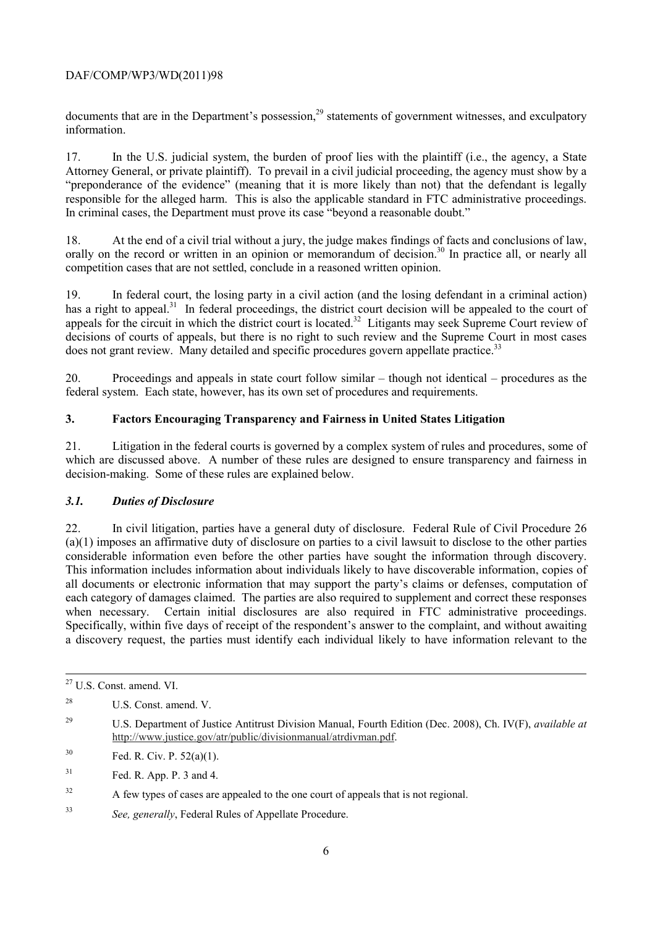documents that are in the Department's possession,<sup>29</sup> statements of government witnesses, and exculpatory information.

17. In the U.S. judicial system, the burden of proof lies with the plaintiff (i.e., the agency, a State Attorney General, or private plaintiff). To prevail in a civil judicial proceeding, the agency must show by a "preponderance of the evidence" (meaning that it is more likely than not) that the defendant is legally responsible for the alleged harm. This is also the applicable standard in FTC administrative proceedings. In criminal cases, the Department must prove its case "beyond a reasonable doubt."

18. At the end of a civil trial without a jury, the judge makes findings of facts and conclusions of law, orally on the record or written in an opinion or memorandum of decision.<sup>30</sup> In practice all, or nearly all competition cases that are not settled, conclude in a reasoned written opinion.

has a right to appeal.<sup>31</sup> In federal proceedings, the district court decision will be appealed to the court of does not grant review. Many detailed and specific procedures govern appellate practice.<sup>33</sup> 19. In federal court, the losing party in a civil action (and the losing defendant in a criminal action) appeals for the circuit in which the district court is located.<sup>32</sup> Litigants may seek Supreme Court review of decisions of courts of appeals, but there is no right to such review and the Supreme Court in most cases

20. Proceedings and appeals in state court follow similar – though not identical – procedures as the federal system. Each state, however, has its own set of procedures and requirements.

# **3. Factors Encouraging Transparency and Fairness in United States Litigation**

21. Litigation in the federal courts is governed by a complex system of rules and procedures, some of which are discussed above. A number of these rules are designed to ensure transparency and fairness in decision-making. Some of these rules are explained below.

# *3.1. Duties of Disclosure*

considerable information even before the other parties have sought the information through discovery. when necessary. Certain initial disclosures are also required in FTC administrative proceedings. 22. In civil litigation, parties have a general duty of disclosure. Federal Rule of Civil Procedure 26 (a)(1) imposes an affirmative duty of disclosure on parties to a civil lawsuit to disclose to the other parties This information includes information about individuals likely to have discoverable information, copies of all documents or electronic information that may support the party's claims or defenses, computation of each category of damages claimed. The parties are also required to supplement and correct these responses Specifically, within five days of receipt of the respondent's answer to the complaint, and without awaiting a discovery request, the parties must identify each individual likely to have information relevant to the

1

<sup>33</sup>*See, generally*, Federal Rules of Appellate Procedure.

<sup>27</sup> U.S. Const. amend. VI.

<sup>28</sup> U.S. Const. amend. V.

<sup>29</sup> 29 U.S. Department of Justice Antitrust Division Manual, Fourth Edition (Dec. 2008), Ch. IV(F), *available at*  http://www.justice.gov/atr/public/divisionmanual/atrdivman.pdf.

 $30$ Fed. R. Civ. P.  $52(a)(1)$ .

<sup>31</sup> Fed. R. App. P. 3 and 4.

 $32$ A few types of cases are appealed to the one court of appeals that is not regional.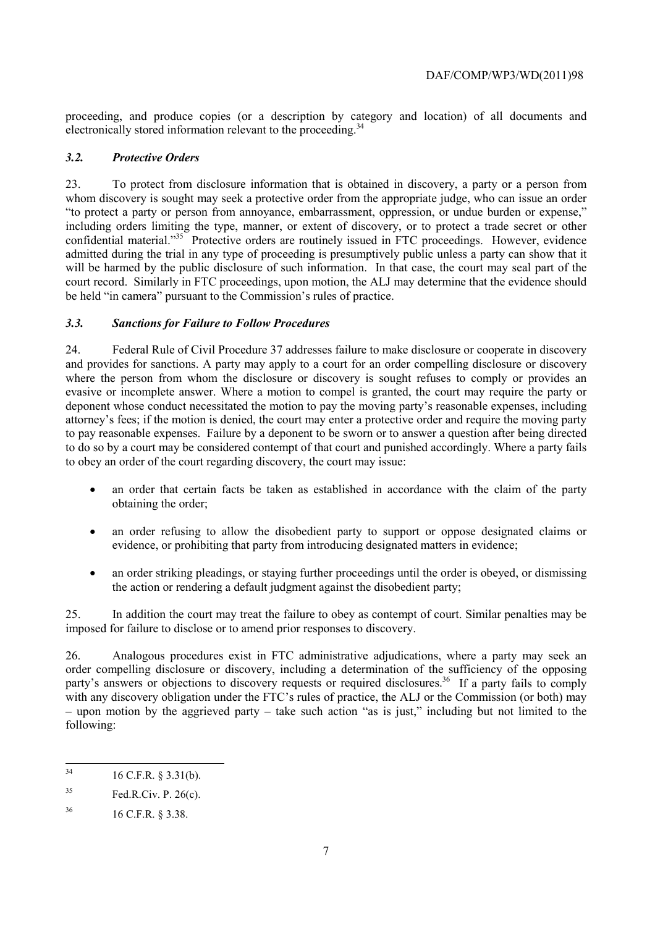proceeding, and produce copies (or a description by category and location) of all documents and electronically stored information relevant to the proceeding.<sup>34</sup>

## *3.2. Protective Orders*

 admitted during the trial in any type of proceeding is presumptively public unless a party can show that it will be harmed by the public disclosure of such information. In that case, the court may seal part of the 23. To protect from disclosure information that is obtained in discovery, a party or a person from whom discovery is sought may seek a protective order from the appropriate judge, who can issue an order "to protect a party or person from annoyance, embarrassment, oppression, or undue burden or expense," including orders limiting the type, manner, or extent of discovery, or to protect a trade secret or other confidential material."35 Protective orders are routinely issued in FTC proceedings. However, evidence court record. Similarly in FTC proceedings, upon motion, the ALJ may determine that the evidence should be held "in camera" pursuant to the Commission's rules of practice.

## *3.3. Sanctions for Failure to Follow Procedures*

24. Federal Rule of Civil Procedure 37 addresses failure to make disclosure or cooperate in discovery and provides for sanctions. A party may apply to a court for an order compelling disclosure or discovery where the person from whom the disclosure or discovery is sought refuses to comply or provides an evasive or incomplete answer. Where a motion to compel is granted, the court may require the party or deponent whose conduct necessitated the motion to pay the moving party's reasonable expenses, including attorney's fees; if the motion is denied, the court may enter a protective order and require the moving party to pay reasonable expenses. Failure by a deponent to be sworn or to answer a question after being directed to do so by a court may be considered contempt of that court and punished accordingly. Where a party fails to obey an order of the court regarding discovery, the court may issue:

- an order that certain facts be taken as established in accordance with the claim of the party obtaining the order;
- an order refusing to allow the disobedient party to support or oppose designated claims or evidence, or prohibiting that party from introducing designated matters in evidence;
- an order striking pleadings, or staying further proceedings until the order is obeyed, or dismissing the action or rendering a default judgment against the disobedient party;

25. In addition the court may treat the failure to obey as contempt of court. Similar penalties may be imposed for failure to disclose or to amend prior responses to discovery.

party's answers or objections to discovery requests or required disclosures.<sup>36</sup> If a party fails to comply – upon motion by the aggrieved party – take such action "as is just," including but not limited to the 26. Analogous procedures exist in FTC administrative adjudications, where a party may seek an order compelling disclosure or discovery, including a determination of the sufficiency of the opposing with any discovery obligation under the FTC's rules of practice, the ALJ or the Commission (or both) may following:

 $34$ 34 16 C.F.R. § 3.31(b).

<sup>35</sup> Fed.R.Civ. P. 26(c).

<sup>36 16</sup> C.F.R. § 3.38.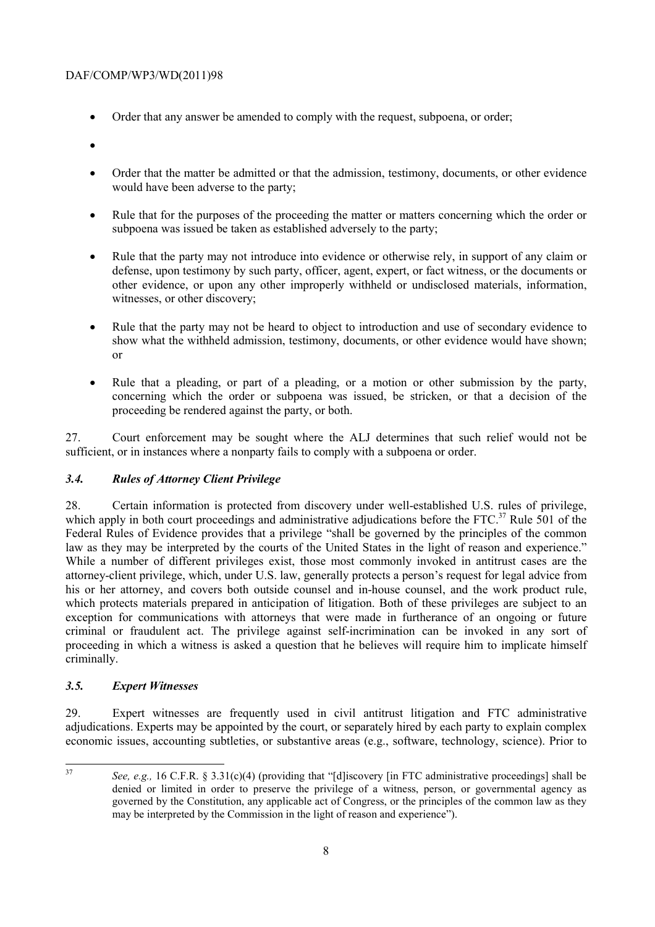- Order that any answer be amended to comply with the request, subpoena, or order;
- •
- would have been adverse to the party; • Order that the matter be admitted or that the admission, testimony, documents, or other evidence
- subpoena was issued be taken as established adversely to the party; • Rule that for the purposes of the proceeding the matter or matters concerning which the order or
- witnesses, or other discovery; • Rule that the party may not introduce into evidence or otherwise rely, in support of any claim or defense, upon testimony by such party, officer, agent, expert, or fact witness, or the documents or other evidence, or upon any other improperly withheld or undisclosed materials, information,
- Rule that the party may not be heard to object to introduction and use of secondary evidence to show what the withheld admission, testimony, documents, or other evidence would have shown; or
- Rule that a pleading, or part of a pleading, or a motion or other submission by the party, concerning which the order or subpoena was issued, be stricken, or that a decision of the proceeding be rendered against the party, or both.

27. Court enforcement may be sought where the ALJ determines that such relief would not be sufficient, or in instances where a nonparty fails to comply with a subpoena or order.

# *3.4. Rules of Attorney Client Privilege*

28. Certain information is protected from discovery under well-established U.S. rules of privilege, which apply in both court proceedings and administrative adjudications before the FTC.<sup>37</sup> Rule 501 of the Federal Rules of Evidence provides that a privilege "shall be governed by the principles of the common law as they may be interpreted by the courts of the United States in the light of reason and experience." While a number of different privileges exist, those most commonly invoked in antitrust cases are the attorney-client privilege, which, under U.S. law, generally protects a person's request for legal advice from his or her attorney, and covers both outside counsel and in-house counsel, and the work product rule, which protects materials prepared in anticipation of litigation. Both of these privileges are subject to an exception for communications with attorneys that were made in furtherance of an ongoing or future criminal or fraudulent act. The privilege against self-incrimination can be invoked in any sort of proceeding in which a witness is asked a question that he believes will require him to implicate himself criminally.

# *3.5. Expert Witnesses*

29. Expert witnesses are frequently used in civil antitrust litigation and FTC administrative adjudications. Experts may be appointed by the court, or separately hired by each party to explain complex economic issues, accounting subtleties, or substantive areas (e.g., software, technology, science). Prior to

 37 *See, e.g.,* 16 C.F.R. § 3.31(c)(4) (providing that "[d]iscovery [in FTC administrative proceedings] shall be denied or limited in order to preserve the privilege of a witness, person, or governmental agency as governed by the Constitution, any applicable act of Congress, or the principles of the common law as they may be interpreted by the Commission in the light of reason and experience").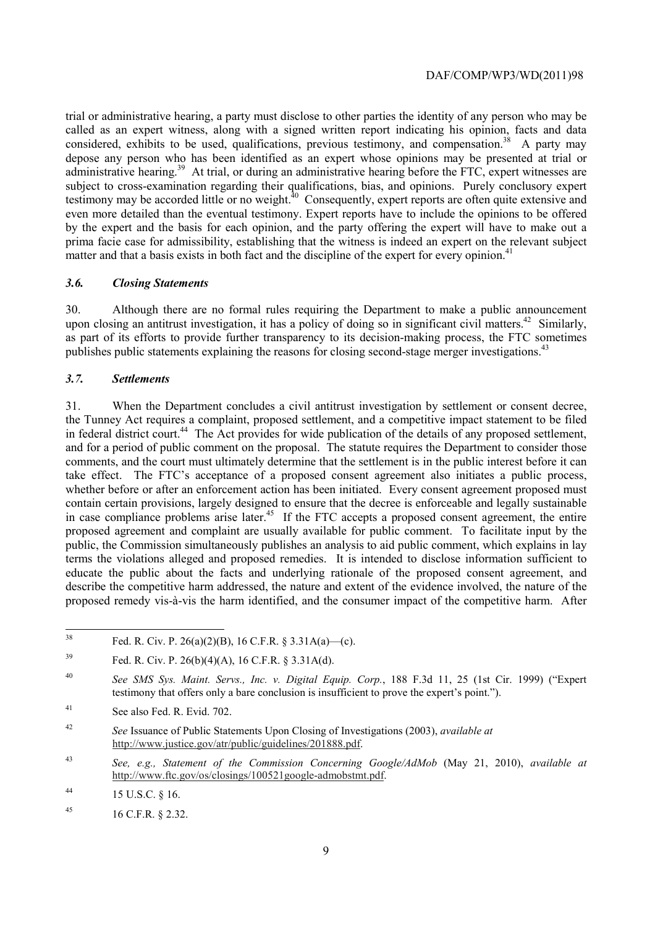matter and that a basis exists in both fact and the discipline of the expert for every opinion.<sup>41</sup> trial or administrative hearing, a party must disclose to other parties the identity of any person who may be called as an expert witness, along with a signed written report indicating his opinion, facts and data considered, exhibits to be used, qualifications, previous testimony, and compensation.<sup>38</sup> A party may depose any person who has been identified as an expert whose opinions may be presented at trial or administrative hearing.<sup>39</sup> At trial, or during an administrative hearing before the FTC, expert witnesses are subject to cross-examination regarding their qualifications, bias, and opinions. Purely conclusory expert testimony may be accorded little or no weight.<sup>40</sup> Consequently, expert reports are often quite extensive and even more detailed than the eventual testimony. Expert reports have to include the opinions to be offered by the expert and the basis for each opinion, and the party offering the expert will have to make out a prima facie case for admissibility, establishing that the witness is indeed an expert on the relevant subject

## *3.6. Closing Statements*

30. Although there are no formal rules requiring the Department to make a public announcement upon closing an antitrust investigation, it has a policy of doing so in significant civil matters.<sup>42</sup> Similarly, as part of its efforts to provide further transparency to its decision-making process, the FTC sometimes publishes public statements explaining the reasons for closing second-stage merger investigations.<sup>43</sup>

#### *3.7. Settlements*

 proposed agreement and complaint are usually available for public comment. To facilitate input by the 31. When the Department concludes a civil antitrust investigation by settlement or consent decree, the Tunney Act requires a complaint, proposed settlement, and a competitive impact statement to be filed in federal district court.<sup>44</sup> The Act provides for wide publication of the details of any proposed settlement, and for a period of public comment on the proposal. The statute requires the Department to consider those comments, and the court must ultimately determine that the settlement is in the public interest before it can take effect. The FTC's acceptance of a proposed consent agreement also initiates a public process, whether before or after an enforcement action has been initiated. Every consent agreement proposed must contain certain provisions, largely designed to ensure that the decree is enforceable and legally sustainable in case compliance problems arise later.<sup>45</sup> If the FTC accepts a proposed consent agreement, the entire public, the Commission simultaneously publishes an analysis to aid public comment, which explains in lay terms the violations alleged and proposed remedies. It is intended to disclose information sufficient to educate the public about the facts and underlying rationale of the proposed consent agreement, and describe the competitive harm addressed, the nature and extent of the evidence involved, the nature of the proposed remedy vis-à-vis the harm identified, and the consumer impact of the competitive harm. After

41 See also Fed. R. Evid. 702.

Fed. R. Civ. P. 26(a)(2)(B), 16 C.F.R. § 3.31A(a)—(c).

<sup>&</sup>lt;sup>39</sup> Fed. R. Civ. P. 26(b)(4)(A), 16 C.F.R. § 3.31A(d).

<sup>40</sup> <sup>40</sup>*See SMS Sys. Maint. Servs., Inc. v. Digital Equip. Corp.*, 188 F.3d 11, 25 (1st Cir. 1999) ("Expert testimony that offers only a bare conclusion is insufficient to prove the expert's point.").

 $42$ <sup>42</sup>*See* Issuance of Public Statements Upon Closing of Investigations (2003), *available at*  http://www.justice.gov/atr/public/guidelines/201888.pdf.

<sup>43</sup> <sup>43</sup>*See, e.g., Statement of the Commission Concerning Google/AdMob* (May 21, 2010), *available at*  http://www.ftc.gov/os/closings/100521google-admobstmt.pdf.

<sup>44</sup> 44 15 U.S.C. § 16.

<sup>45 16</sup> C.F.R. § 2.32.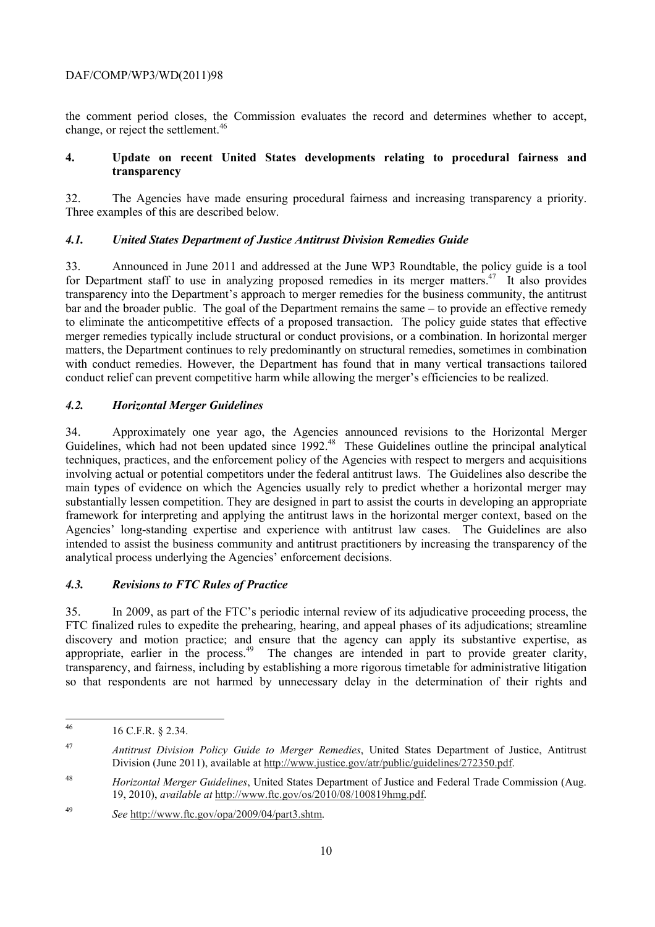the comment period closes, the Commission evaluates the record and determines whether to accept, change, or reject the settlement.<sup>46</sup>

## **transparency 4. Update on recent United States developments relating to procedural fairness and**

 32. The Agencies have made ensuring procedural fairness and increasing transparency a priority. Three examples of this are described below. Three examples of this are described below.

## *4.1. United States Department of Justice Antitrust Division Remedies Guide*

33. Announced in June 2011 and addressed at the June WP3 Roundtable, the policy guide is a tool for Department staff to use in analyzing proposed remedies in its merger matters.<sup>47</sup> It also provides transparency into the Department's approach to merger remedies for the business community, the antitrust bar and the broader public. The goal of the Department remains the same – to provide an effective remedy to eliminate the anticompetitive effects of a proposed transaction. The policy guide states that effective merger remedies typically include structural or conduct provisions, or a combination. In horizontal merger matters, the Department continues to rely predominantly on structural remedies, sometimes in combination with conduct remedies. However, the Department has found that in many vertical transactions tailored conduct relief can prevent competitive harm while allowing the merger's efficiencies to be realized.

## *4.2. Horizontal Merger Guidelines*

Guidelines, which had not been updated since 1992.<sup>48</sup> These Guidelines outline the principal analytical 34. Approximately one year ago, the Agencies announced revisions to the Horizontal Merger techniques, practices, and the enforcement policy of the Agencies with respect to mergers and acquisitions involving actual or potential competitors under the federal antitrust laws. The Guidelines also describe the main types of evidence on which the Agencies usually rely to predict whether a horizontal merger may substantially lessen competition. They are designed in part to assist the courts in developing an appropriate framework for interpreting and applying the antitrust laws in the horizontal merger context, based on the Agencies' long-standing expertise and experience with antitrust law cases. The Guidelines are also intended to assist the business community and antitrust practitioners by increasing the transparency of the analytical process underlying the Agencies' enforcement decisions.

## *4.3. Revisions to FTC Rules of Practice*

35. In 2009, as part of the FTC's periodic internal review of its adjudicative proceeding process, the FTC finalized rules to expedite the prehearing, hearing, and appeal phases of its adjudications; streamline discovery and motion practice; and ensure that the agency can apply its substantive expertise, as appropriate, earlier in the process.<sup>49</sup> The changes are intended in part to provide greater clarity, transparency, and fairness, including by establishing a more rigorous timetable for administrative litigation so that respondents are not harmed by unnecessary delay in the determination of their rights and

 $\overline{a}$ 

<sup>46 16</sup> C.F.R. § 2.34.

<sup>47</sup>*Antitrust Division Policy Guide to Merger Remedies*, United States Department of Justice, Antitrust Division (June 2011), available at http://www.justice.gov/atr/public/guidelines/272350.pdf.

<sup>48</sup> <sup>48</sup>*Horizontal Merger Guidelines*, United States Department of Justice and Federal Trade Commission (Aug. 19, 2010), *available at* http://www.ftc.gov/os/2010/08/100819hmg.pdf.

<sup>49</sup>*See* http://www.ftc.gov/opa/2009/04/part3.shtm.